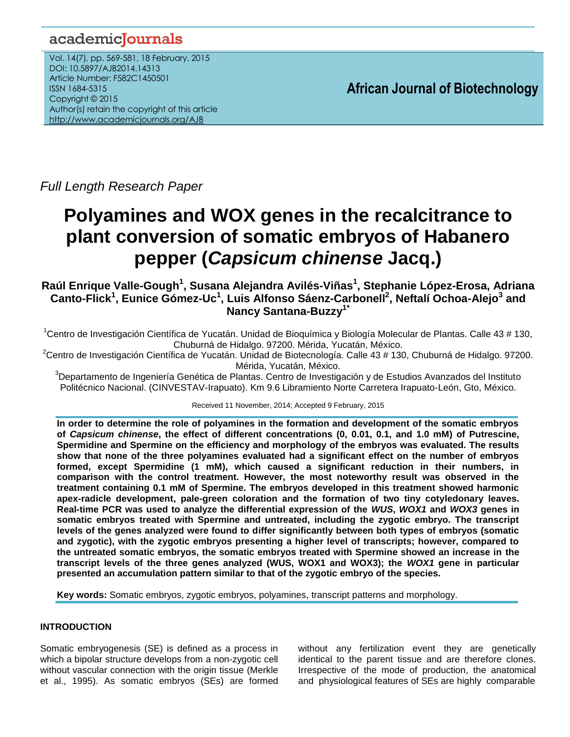# academicJournals

Vol. 14(7), pp. 569-581, 18 February, 2015 DOI: 10.5897/AJB2014.14313 Article Number: F582C1450501 ISSN 1684-5315 Copyright © 2015 Author(s) retain the copyright of this article <http://www.academicjournals.org/AJB>

**African Journal of Biotechnology**

*Full Length Research Paper*

# **Polyamines and WOX genes in the recalcitrance to plant conversion of somatic embryos of Habanero pepper (***Capsicum chinense* **Jacq.)**

**Raúl Enrique Valle-Gough<sup>1</sup> , Susana Alejandra Avilés-Viñas<sup>1</sup> , Stephanie López-Erosa, Adriana Canto-Flick<sup>1</sup> , Eunice Gómez-Uc<sup>1</sup> , Luis Alfonso Sáenz-Carbonell<sup>2</sup> , Neftalí Ochoa-Alejo<sup>3</sup> and Nancy Santana-Buzzy1\***

<sup>1</sup>Centro de Investigación Científica de Yucatán. Unidad de Bioquímica y Biología Molecular de Plantas. Calle 43 # 130, Chuburná de Hidalgo. 97200. Mérida, Yucatán, México.

<sup>2</sup>Centro de Investigación Científica de Yucatán. Unidad de Biotecnología. Calle 43 # 130, Chuburná de Hidalgo. 97200. Mérida, Yucatán, México.

<sup>3</sup>Departamento de Ingeniería Genética de Plantas. Centro de Investigación y de Estudios Avanzados del Instituto Politécnico Nacional. (CINVESTAV-Irapuato). Km 9.6 Libramiento Norte Carretera Irapuato-León, Gto, México.

Received 11 November, 2014; Accepted 9 February, 2015

**In order to determine the role of polyamines in the formation and development of the somatic embryos of** *Capsicum chinense***, the effect of different concentrations (0, 0.01, 0.1, and 1.0 mM) of Putrescine, Spermidine and Spermine on the efficiency and morphology of the embryos was evaluated. The results show that none of the three polyamines evaluated had a significant effect on the number of embryos formed, except Spermidine (1 mM), which caused a significant reduction in their numbers, in comparison with the control treatment. However, the most noteworthy result was observed in the treatment containing 0.1 mM of Spermine. The embryos developed in this treatment showed harmonic apex-radicle development, pale-green coloration and the formation of two tiny cotyledonary leaves. Real-time PCR was used to analyze the differential expression of the** *WUS***,** *WOX1* **and** *WOX3* **genes in somatic embryos treated with Spermine and untreated, including the zygotic embryo. The transcript levels of the genes analyzed were found to differ significantly between both types of embryos (somatic and zygotic), with the zygotic embryos presenting a higher level of transcripts; however, compared to the untreated somatic embryos, the somatic embryos treated with Spermine showed an increase in the transcript levels of the three genes analyzed (WUS, WOX1 and WOX3); the** *WOX1* **gene in particular presented an accumulation pattern similar to that of the zygotic embryo of the species.** 

**Key words:** Somatic embryos, zygotic embryos, polyamines, transcript patterns and morphology.

# **INTRODUCTION**

Somatic embryogenesis (SE) is defined as a process in which a bipolar structure develops from a non-zygotic cell without vascular connection with the origin tissue (Merkle et al., 1995). As somatic embryos (SEs) are formed

without any fertilization event they are genetically identical to the parent tissue and are therefore clones. Irrespective of the mode of production, the anatomical and physiological features of SEs are highly comparable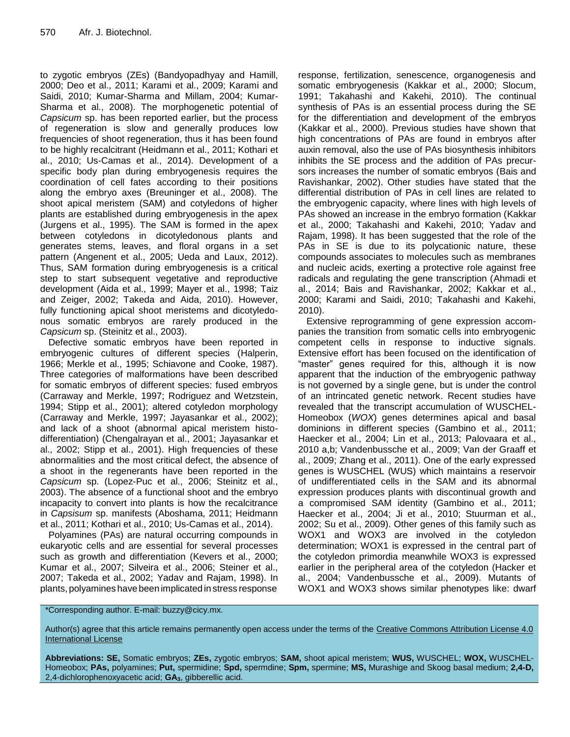to zygotic embryos (ZEs) (Bandyopadhyay and Hamill, 2000; Deo et al., 2011; Karami et al., 2009; Karami and Saidi, 2010; Kumar-Sharma and Millam, 2004; Kumar-Sharma et al., 2008). The morphogenetic potential of *Capsicum* sp. has been reported earlier, but the process of regeneration is slow and generally produces low frequencies of shoot regeneration, thus it has been found to be highly recalcitrant (Heidmann et al., 2011; Kothari et al., 2010; Us-Camas et al., 2014). Development of a specific body plan during embryogenesis requires the coordination of cell fates according to their positions along the embryo axes (Breuninger et al., 2008). The shoot apical meristem (SAM) and cotyledons of higher plants are established during embryogenesis in the apex (Jurgens et al., 1995). The SAM is formed in the apex between cotyledons in dicotyledonous plants and generates stems, leaves, and floral organs in a set pattern (Angenent et al., 2005; Ueda and Laux, 2012). Thus, SAM formation during embryogenesis is a critical step to start subsequent vegetative and reproductive development (Aida et al., 1999; Mayer et al., 1998; Taiz and Zeiger, 2002; Takeda and Aida, 2010). However, fully functioning apical shoot meristems and dicotyledonous somatic embryos are rarely produced in the *Capsicum* sp. (Steinitz et al., 2003).

Defective somatic embryos have been reported in embryogenic cultures of different species (Halperin, 1966; Merkle et al., 1995; Schiavone and Cooke, 1987). Three categories of malformations have been described for somatic embryos of different species: fused embryos (Carraway and Merkle, 1997; Rodriguez and Wetzstein, 1994; Stipp et al., 2001); altered cotyledon morphology (Carraway and Merkle, 1997; Jayasankar et al., 2002); and lack of a shoot (abnormal apical meristem histodifferentiation) (Chengalrayan et al., 2001; Jayasankar et al., 2002; Stipp et al., 2001). High frequencies of these abnormalities and the most critical defect, the absence of a shoot in the regenerants have been reported in the *Capsicum* sp. (Lopez-Puc et al., 2006; Steinitz et al., 2003). The absence of a functional shoot and the embryo incapacity to convert into plants is how the recalcitrance in *Capsisum* sp. manifests (Aboshama, 2011; Heidmann et al., 2011; Kothari et al., 2010; Us-Camas et al., 2014).

Polyamines (PAs) are natural occurring compounds in eukaryotic cells and are essential for several processes such as growth and differentiation (Kevers et al., 2000; Kumar et al., 2007; Silveira et al., 2006; Steiner et al., 2007; Takeda et al., 2002; Yadav and Rajam, 1998). In plants, polyamines have been implicated in stress response

response, fertilization, senescence, organogenesis and somatic embryogenesis (Kakkar et al., 2000; Slocum, 1991; Takahashi and Kakehi, 2010). The continual synthesis of PAs is an essential process during the SE for the differentiation and development of the embryos (Kakkar et al., 2000). Previous studies have shown that high concentrations of PAs are found in embryos after auxin removal, also the use of PAs biosynthesis inhibitors inhibits the SE process and the addition of PAs precursors increases the number of somatic embryos (Bais and Ravishankar, 2002). Other studies have stated that the differential distribution of PAs in cell lines are related to the embryogenic capacity, where lines with high levels of PAs showed an increase in the embryo formation (Kakkar et al., 2000; Takahashi and Kakehi, 2010; Yadav and Rajam, 1998). It has been suggested that the role of the PAs in SE is due to its polycationic nature, these compounds associates to molecules such as membranes and nucleic acids, exerting a protective role against free radicals and regulating the gene transcription (Ahmadi et al., 2014; Bais and Ravishankar, 2002; Kakkar et al., 2000; Karami and Saidi, 2010; Takahashi and Kakehi, 2010).

Extensive reprogramming of gene expression accompanies the transition from somatic cells into embryogenic competent cells in response to inductive signals. Extensive effort has been focused on the identification of "master" genes required for this, although it is now apparent that the induction of the embryogenic pathway is not governed by a single gene, but is under the control of an intrincated genetic network. Recent studies have revealed that the transcript accumulation of WUSCHEL-Homeobox (*WOX*) genes determines apical and basal dominions in different species (Gambino et al., 2011; Haecker et al., 2004; Lin et al., 2013; Palovaara et al., 2010 a,b; Vandenbussche et al., 2009; Van der Graaff et al., 2009; Zhang et al., 2011). One of the early expressed genes is WUSCHEL (WUS) which maintains a reservoir of undifferentiated cells in the SAM and its abnormal expression produces plants with discontinual growth and a compromised SAM identity (Gambino et al., 2011; Haecker et al., 2004; Ji et al., 2010; Stuurman et al., 2002; Su et al., 2009). Other genes of this family such as WOX1 and WOX3 are involved in the cotyledon determination; WOX1 is expressed in the central part of the cotyledon primordia meanwhile WOX3 is expressed earlier in the peripheral area of the cotyledon (Hacker et al., 2004; Vandenbussche et al., 2009). Mutants of WOX1 and WOX3 shows similar phenotypes like: dwarf

# \*Corresponding author. E-mail: buzzy@cicy.mx.

Author(s) agree that this article remains permanently open access under the terms of the Creative Commons Attribution License 4.0 **[International License](http://creativecommons.org/licenses/by/4.0/deed.en_US)** 

**Abbreviations: SE,** Somatic embryos; **ZEs,** zygotic embryos; **SAM,** shoot apical meristem; **WUS,** WUSCHEL; **WOX,** WUSCHEL-Homeobox; **PAs,** polyamines; **Put,** spermidine; **Spd,** spermdine; **Spm,** spermine; **MS,** Murashige and Skoog basal medium; **2,4-D,** 2,4-dichlorophenoxyacetic acid; **GA3**, gibberellic acid.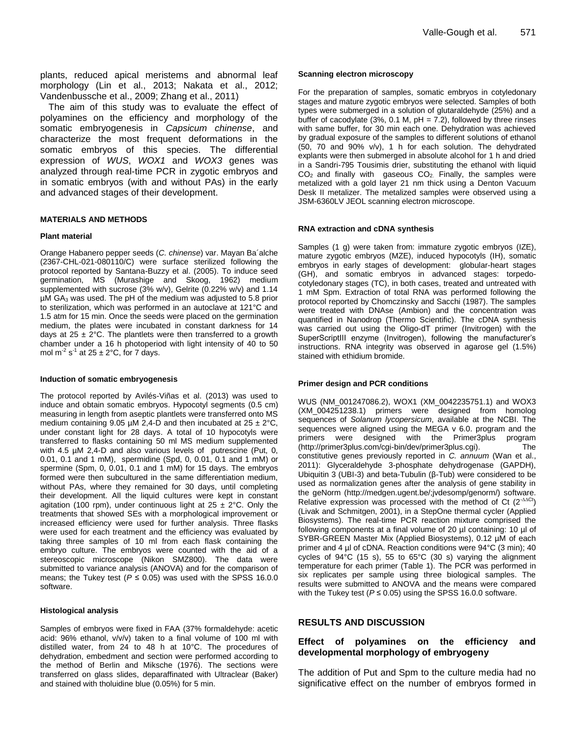plants, reduced apical meristems and abnormal leaf morphology (Lin et al., 2013; Nakata et al., 2012; Vandenbussche et al., 2009; Zhang et al., 2011)

The aim of this study was to evaluate the effect of polyamines on the efficiency and morphology of the somatic embryogenesis in *Capsicum chinense*, and characterize the most frequent deformations in the somatic embryos of this species. The differential expression of *WUS*, *WOX1* and *WOX3* genes was analyzed through real-time PCR in zygotic embryos and in somatic embryos (with and without PAs) in the early and advanced stages of their development.

# **MATERIALS AND METHODS**

#### **Plant material**

Orange Habanero pepper seeds (*C. chinense*) var. Mayan Ba´alche (2367-CHL-021-080110/C) were surface sterilized following the protocol reported by Santana-Buzzy et al. (2005). To induce seed germination, MS (Murashige and Skoog, 1962) medium supplemented with sucrose (3% w/v), Gelrite (0.22% w/v) and 1.14 µM GA<sup>3</sup> was used. The pH of the medium was adjusted to 5.8 prior to sterilization, which was performed in an autoclave at 121°C and 1.5 atm for 15 min. Once the seeds were placed on the germination medium, the plates were incubated in constant darkness for 14 days at  $25 \pm 2^{\circ}$ C. The plantlets were then transferred to a growth chamber under a 16 h photoperiod with light intensity of 40 to 50 mol m<sup>-2</sup> s<sup>-1</sup> at 25  $\pm$  2°C, for 7 days.

#### **Induction of somatic embryogenesis**

The protocol reported by Avilés-Viñas et al. (2013) was used to induce and obtain somatic embryos. Hypocotyl segments (0.5 cm) measuring in length from aseptic plantlets were transferred onto MS medium containing 9.05  $\mu$ M 2,4-D and then incubated at 25  $\pm$  2°C, under constant light for 28 days. A total of 10 hypocotyls were transferred to flasks containing 50 ml MS medium supplemented with 4.5 µM 2,4-D and also various levels of putrescine (Put, 0, 0.01, 0.1 and 1 mM), spermidine (Spd, 0, 0.01, 0.1 and 1 mM) or spermine (Spm, 0, 0.01, 0.1 and 1 mM) for 15 days. The embryos formed were then subcultured in the same differentiation medium, without PAs, where they remained for 30 days, until completing their development. All the liquid cultures were kept in constant agitation (100 rpm), under continuous light at  $25 \pm 2^{\circ}$ C. Only the treatments that showed SEs with a morphological improvement or increased efficiency were used for further analysis. Three flasks were used for each treatment and the efficiency was evaluated by taking three samples of 10 ml from each flask containing the embryo culture. The embryos were counted with the aid of a stereoscopic microscope (Nikon SMZ800). The data were submitted to variance analysis (ANOVA) and for the comparison of means; the Tukey test ( $P \le 0.05$ ) was used with the SPSS 16.0.0 software.

#### **Histological analysis**

Samples of embryos were fixed in FAA (37% formaldehyde: acetic acid: 96% ethanol, v/v/v) taken to a final volume of 100 ml with distilled water, from 24 to 48 h at 10°C. The procedures of dehydration, embedment and section were performed according to the method of Berlin and Miksche (1976). The sections were transferred on glass slides, deparaffinated with Ultraclear (Baker) and stained with tholuidine blue (0.05%) for 5 min.

#### **Scanning electron microscopy**

For the preparation of samples, somatic embryos in cotyledonary stages and mature zygotic embryos were selected. Samples of both types were submerged in a solution of glutaraldehyde (25%) and a buffer of cacodylate (3%, 0.1 M,  $pH = 7.2$ ), followed by three rinses with same buffer, for 30 min each one. Dehydration was achieved by gradual exposure of the samples to different solutions of ethanol (50, 70 and 90% v/v), 1 h for each solution. The dehydrated explants were then submerged in absolute alcohol for 1 h and dried in a Sandri-795 Tousimis drier, substituting the ethanol with liquid  $CO<sub>2</sub>$  and finally with gaseous  $CO<sub>2</sub>$ . Finally, the samples were metalized with a gold layer 21 nm thick using a Denton Vacuum Desk II metalizer. The metalized samples were observed using a JSM-6360LV JEOL scanning electron microscope.

#### **RNA extraction and cDNA synthesis**

Samples (1 g) were taken from: immature zygotic embryos (IZE), mature zygotic embryos (MZE), induced hypocotyls (IH), somatic embryos in early stages of development: globular-heart stages (GH), and somatic embryos in advanced stages: torpedocotyledonary stages (TC), in both cases, treated and untreated with 1 mM Spm. Extraction of total RNA was performed following the protocol reported by Chomczinsky and Sacchi (1987). The samples were treated with DNAse (Ambion) and the concentration was quantified in Nanodrop (Thermo Scientific). The cDNA synthesis was carried out using the Oligo-dT primer (Invitrogen) with the SuperScriptIII enzyme (Invitrogen), following the manufacturer's instructions. RNA integrity was observed in agarose gel (1.5%) stained with ethidium bromide.

#### **Primer design and PCR conditions**

WUS (NM\_001247086.2), WOX1 (XM\_0042235751.1) and WOX3 (XM\_004251238.1) primers were designed from homolog sequences of *Solanum lycopersicum*, available at the NCBI. The sequences were aligned using the MEGA v 6.0. program and the primers were designed with the Primer3plus program (http://primer3plus.com/cgi-bin/dev/primer3plus.cgi). The constitutive genes previously reported in *C. annuum* (Wan et al., 2011): Glyceraldehyde 3-phosphate dehydrogenase (GAPDH), Ubiquitin 3 (UBI-3) and beta-Tubulin (β-Tub) were considered to be used as normalization genes after the analysis of gene stability in the geNorm (http://medgen.ugent.be/;jvdesomp/genorm/) software. Relative expression was processed with the method of Ct  $(2^{-AACt})$ (Livak and Schmitgen, 2001), in a StepOne thermal cycler (Applied Biosystems). The real-time PCR reaction mixture comprised the following components at a final volume of 20 µl containing: 10 µl of SYBR-GREEN Master Mix (Applied Biosystems), 0.12 µM of each primer and 4 µl of cDNA. Reaction conditions were 94°C (3 min); 40 cycles of 94°C (15 s), 55 to 65°C (30 s) varying the alignment temperature for each primer (Table 1). The PCR was performed in six replicates per sample using three biological samples. The results were submitted to ANOVA and the means were compared with the Tukey test ( $P \le 0.05$ ) using the SPSS 16.0.0 software.

#### **RESULTS AND DISCUSSION**

# **Effect of polyamines on the efficiency and developmental morphology of embryogeny**

The addition of Put and Spm to the culture media had no significative effect on the number of embryos formed in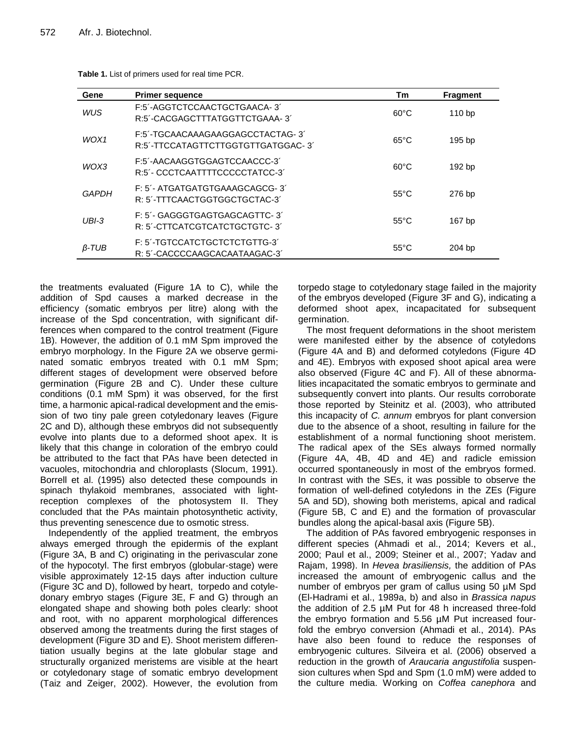| Gene         | <b>Primer sequence</b>                                                 | Tm             | <b>Fragment</b>   |
|--------------|------------------------------------------------------------------------|----------------|-------------------|
| <b>WUS</b>   | F:5'-AGGTCTCCAACTGCTGAACA-3'<br>R:5'-CACGAGCTTTATGGTTCTGAAA-3'         | $60^{\circ}$ C | 110 <sub>bp</sub> |
| WOX1         | F:5'-TGCAACAAAGAAGGAGCCTACTAG-3'<br>R:5'-TTCCATAGTTCTTGGTGTTGATGGAC-3' | $65^{\circ}$ C | 195 bp            |
| WOX3         | F:5'-AACAAGGTGGAGTCCAACCC-3'<br>R:5'- CCCTCAATTTTCCCCCTATCC-3'         | $60^{\circ}$ C | 192 bp            |
| GAPDH        | F: 5'- ATGATGATGTGAAAGCAGCG-3'<br>R: 5'-TTTCAACTGGTGGCTGCTAC-3'        | $55^{\circ}$ C | 276 bp            |
| $UBI-3$      | F: 5'- GAGGGTGAGTGAGCAGTTC-3'<br>R: 5'-CTTCATCGTCATCTGCTGTC-3'         | $55^{\circ}$ C | 167 bp            |
| $\beta$ -TUB | F: 5'-TGTCCATCTGCTCTCTGTTG-3'<br>R: 5'-CACCCCAAGCACAATAAGAC-3'         | $55^{\circ}$ C | 204 bp            |

**Table 1.** List of primers used for real time PCR.

the treatments evaluated (Figure 1A to C), while the addition of Spd causes a marked decrease in the efficiency (somatic embryos per litre) along with the increase of the Spd concentration, with significant differences when compared to the control treatment (Figure 1B). However, the addition of 0.1 mM Spm improved the embryo morphology. In the Figure 2A we observe germinated somatic embryos treated with 0.1 mM Spm; different stages of development were observed before germination (Figure 2B and C). Under these culture conditions (0.1 mM Spm) it was observed, for the first time, a harmonic apical-radical development and the emission of two tiny pale green cotyledonary leaves (Figure 2C and D), although these embryos did not subsequently evolve into plants due to a deformed shoot apex. It is likely that this change in coloration of the embryo could be attributed to the fact that PAs have been detected in vacuoles, mitochondria and chloroplasts (Slocum, 1991). Borrell et al. (1995) also detected these compounds in spinach thylakoid membranes, associated with lightreception complexes of the photosystem II. They concluded that the PAs maintain photosynthetic activity, thus preventing senescence due to osmotic stress.

Independently of the applied treatment, the embryos always emerged through the epidermis of the explant (Figure 3A, B and C) originating in the perivascular zone of the hypocotyl. The first embryos (globular-stage) were visible approximately 12-15 days after induction culture (Figure 3C and D), followed by heart, torpedo and cotyledonary embryo stages (Figure 3E, F and G) through an elongated shape and showing both poles clearly: shoot and root, with no apparent morphological differences observed among the treatments during the first stages of development (Figure 3D and E). Shoot meristem differentiation usually begins at the late globular stage and structurally organized meristems are visible at the heart or cotyledonary stage of somatic embryo development (Taiz and Zeiger, 2002). However, the evolution from

torpedo stage to cotyledonary stage failed in the majority of the embryos developed (Figure 3F and G), indicating a deformed shoot apex, incapacitated for subsequent germination.

The most frequent deformations in the shoot meristem were manifested either by the absence of cotyledons (Figure 4A and B) and deformed cotyledons (Figure 4D and 4E). Embryos with exposed shoot apical area were also observed (Figure 4C and F). All of these abnormalities incapacitated the somatic embryos to germinate and subsequently convert into plants. Our results corroborate those reported by Steinitz et al. (2003), who attributed this incapacity of *C. annum* embryos for plant conversion due to the absence of a shoot, resulting in failure for the establishment of a normal functioning shoot meristem. The radical apex of the SEs always formed normally (Figure 4A, 4B, 4D and 4E) and radicle emission occurred spontaneously in most of the embryos formed. In contrast with the SEs, it was possible to observe the formation of well-defined cotyledons in the ZEs (Figure 5A and 5D), showing both meristems, apical and radical (Figure 5B, C and E) and the formation of provascular bundles along the apical-basal axis (Figure 5B).

The addition of PAs favored embryogenic responses in different species (Ahmadi et al., 2014; Kevers et al., 2000; Paul et al., 2009; Steiner et al., 2007; Yadav and Rajam, 1998). In *Hevea brasiliensis,* the addition of PAs increased the amount of embryogenic callus and the number of embryos per gram of callus using 50 µM Spd (El-Hadrami et al., 1989a, b) and also in *Brassica napus* the addition of 2.5 µM Put for 48 h increased three-fold the embryo formation and 5.56 µM Put increased fourfold the embryo conversion (Ahmadi et al., 2014). PAs have also been found to reduce the responses of embryogenic cultures. Silveira et al. (2006) observed a reduction in the growth of *Araucaria angustifolia* suspension cultures when Spd and Spm (1.0 mM) were added to the culture media. Working on *Coffea canephora* and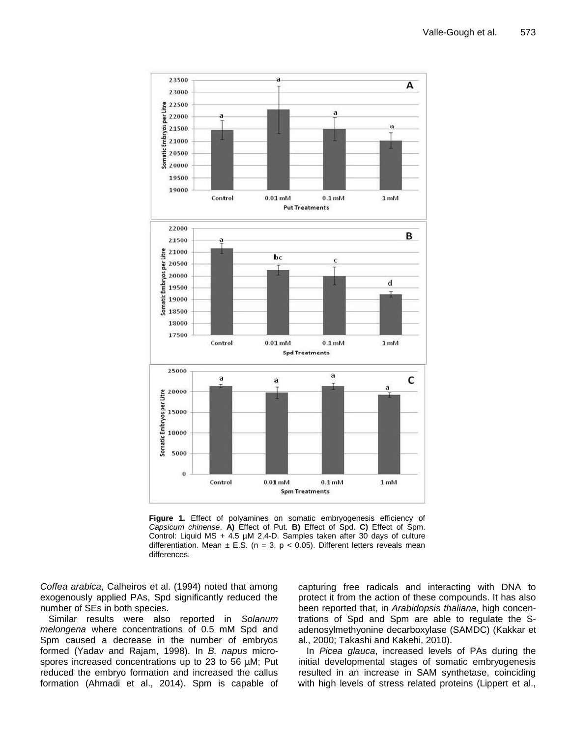

**Figure 1.** Effect of polyamines on somatic embryogenesis efficiency of *Capsicum chinense*. **A)** Effect of Put. **B)** Effect of Spd. **C)** Effect of Spm. Control: Liquid MS + 4.5 µM 2,4-D. Samples taken after 30 days of culture differentiation. Mean  $\pm$  E.S. (n = 3, p < 0.05). Different letters reveals mean differences.

*Coffea arabica*, Calheiros et al. (1994) noted that among exogenously applied PAs, Spd significantly reduced the number of SEs in both species.

Similar results were also reported in *Solanum melongena* where concentrations of 0.5 mM Spd and Spm caused a decrease in the number of embryos formed (Yadav and Rajam, 1998). In *B. napus* microspores increased concentrations up to 23 to 56  $\mu$ M; Put reduced the embryo formation and increased the callus formation (Ahmadi et al., 2014). Spm is capable of

capturing free radicals and interacting with DNA to protect it from the action of these compounds. It has also been reported that, in *Arabidopsis thaliana*, high concentrations of Spd and Spm are able to regulate the Sadenosylmethyonine decarboxylase (SAMDC) (Kakkar et al., 2000; Takashi and Kakehi, 2010).

In *Picea glauca*, increased levels of PAs during the initial developmental stages of somatic embryogenesis resulted in an increase in SAM synthetase, coinciding with high levels of stress related proteins (Lippert et al.,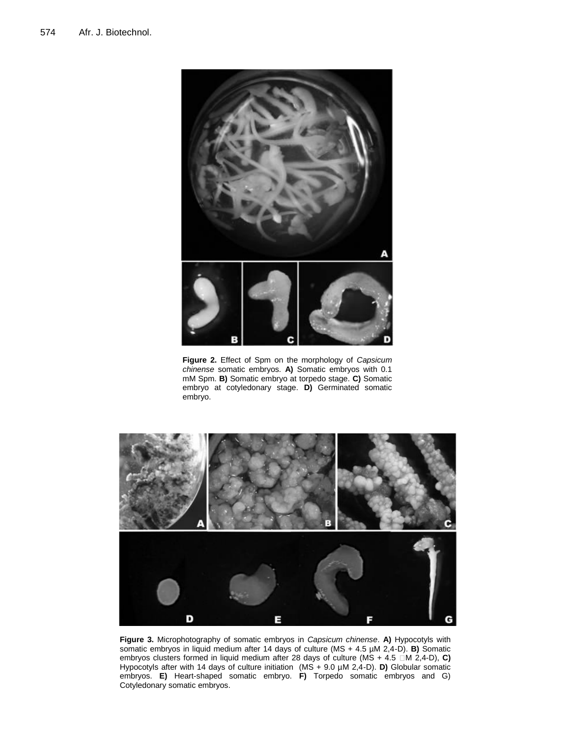

**Figure 2.** Effect of Spm on the morphology of *Capsicum chinense* somatic embryos*.* **A)** Somatic embryos with 0.1 mM Spm. **B)** Somatic embryo at torpedo stage. **C)** Somatic embryo at cotyledonary stage. **D)** Germinated somatic embryo.



**Figure 3.** Microphotography of somatic embryos in *Capsicum chinense*. **A)** Hypocotyls with somatic embryos in liquid medium after 14 days of culture (MS + 4.5 µM 2,4-D). **B)** Somatic embryos clusters formed in liquid medium after 28 days of culture (MS + 4.5  $\Box$ M 2,4-D), C) Hypocotyls after with 14 days of culture initiation (MS + 9.0 µM 2,4-D). **D)** Globular somatic embryos. **E)** Heart-shaped somatic embryo. **F)** Torpedo somatic embryos and G) Cotyledonary somatic embryos.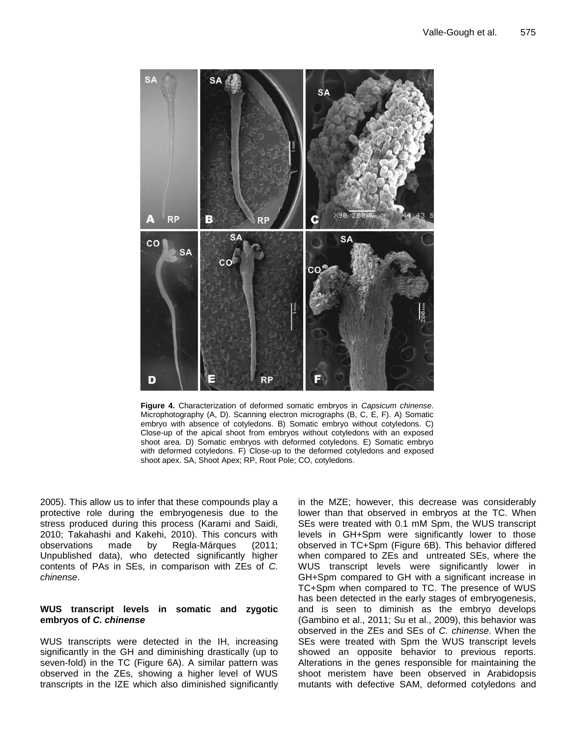

**Figure 4.** Characterization of deformed somatic embryos in *Capsicum chinense*. Microphotography (A, D). Scanning electron micrographs (B, C, E, F). A) Somatic embryo with absence of cotyledons. B) Somatic embryo without cotyledons. C) Close-up of the apical shoot from embryos without cotyledons with an exposed shoot area. D) Somatic embryos with deformed cotyledons. E) Somatic embryo with deformed cotyledons. F) Close-up to the deformed cotyledons and exposed shoot apex. SA, Shoot Apex; RP, Root Pole; CO, cotyledons.

2005). This allow us to infer that these compounds play a protective role during the embryogenesis due to the stress produced during this process (Karami and Saidi, 2010; Takahashi and Kakehi, 2010). This concurs with observations made by Regla-Márques (2011; Unpublished data), who detected significantly higher contents of PAs in SEs, in comparison with ZEs of *C. chinense*.

# **WUS transcript levels in somatic and zygotic embryos of** *C. chinense*

WUS transcripts were detected in the IH, increasing significantly in the GH and diminishing drastically (up to seven-fold) in the TC (Figure 6A). A similar pattern was observed in the ZEs, showing a higher level of WUS transcripts in the IZE which also diminished significantly

in the MZE; however, this decrease was considerably lower than that observed in embryos at the TC. When SEs were treated with 0.1 mM Spm, the WUS transcript levels in GH+Spm were significantly lower to those observed in TC+Spm (Figure 6B). This behavior differed when compared to ZEs and untreated SEs, where the WUS transcript levels were significantly lower in GH+Spm compared to GH with a significant increase in TC+Spm when compared to TC. The presence of WUS has been detected in the early stages of embryogenesis, and is seen to diminish as the embryo develops (Gambino et al., 2011; Su et al., 2009), this behavior was observed in the ZEs and SEs of *C. chinense*. When the SEs were treated with Spm the WUS transcript levels showed an opposite behavior to previous reports. Alterations in the genes responsible for maintaining the shoot meristem have been observed in Arabidopsis mutants with defective SAM, deformed cotyledons and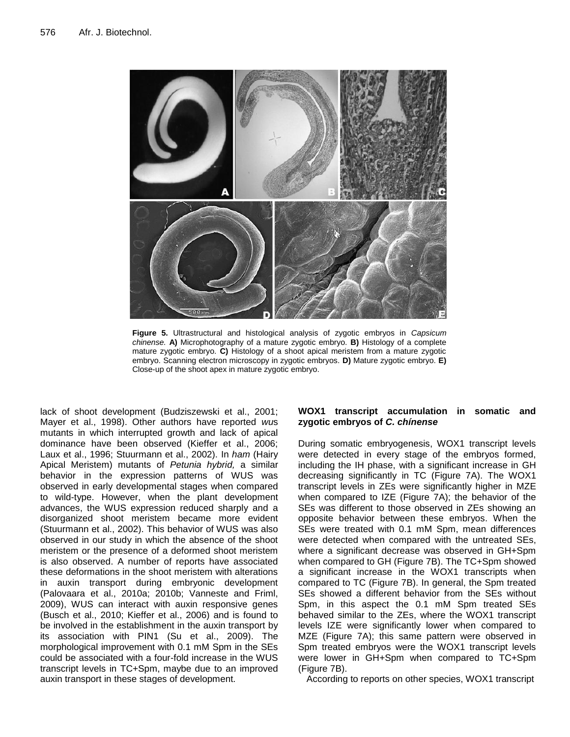

**Figure 5.** Ultrastructural and histological analysis of zygotic embryos in *Capsicum chinense.* **A)** Microphotography of a mature zygotic embryo. **B)** Histology of a complete mature zygotic embryo. **C)** Histology of a shoot apical meristem from a mature zygotic embryo. Scanning electron microscopy in zygotic embryos. **D)** Mature zygotic embryo. **E)** Close-up of the shoot apex in mature zygotic embryo.

lack of shoot development (Budziszewski et al., 2001; Mayer et al., 1998). Other authors have reported *wu*s mutants in which interrupted growth and lack of apical dominance have been observed (Kieffer et al., 2006; Laux et al., 1996; Stuurmann et al., 2002). In *ham* (Hairy Apical Meristem) mutants of *Petunia hybrid,* a similar behavior in the expression patterns of WUS was observed in early developmental stages when compared to wild-type. However, when the plant development advances, the WUS expression reduced sharply and a disorganized shoot meristem became more evident (Stuurmann et al., 2002). This behavior of WUS was also observed in our study in which the absence of the shoot meristem or the presence of a deformed shoot meristem is also observed. A number of reports have associated these deformations in the shoot meristem with alterations in auxin transport during embryonic development (Palovaara et al., 2010a; 2010b; Vanneste and Friml, 2009), WUS can interact with auxin responsive genes (Busch et al., 2010; Kieffer et al., 2006) and is found to be involved in the establishment in the auxin transport by its association with PIN1 (Su et al., 2009). The morphological improvement with 0.1 mM Spm in the SEs could be associated with a four-fold increase in the WUS transcript levels in TC+Spm, maybe due to an improved auxin transport in these stages of development.

# **WOX1 transcript accumulation in somatic and zygotic embryos of** *C. chínense*

During somatic embryogenesis, WOX1 transcript levels were detected in every stage of the embryos formed, including the IH phase, with a significant increase in GH decreasing significantly in TC (Figure 7A). The WOX1 transcript levels in ZEs were significantly higher in MZE when compared to IZE (Figure 7A); the behavior of the SEs was different to those observed in ZEs showing an opposite behavior between these embryos. When the SEs were treated with 0.1 mM Spm, mean differences were detected when compared with the untreated SEs, where a significant decrease was observed in GH+Spm when compared to GH (Figure 7B). The TC+Spm showed a significant increase in the WOX1 transcripts when compared to TC (Figure 7B). In general, the Spm treated SEs showed a different behavior from the SEs without Spm, in this aspect the 0.1 mM Spm treated SEs behaved similar to the ZEs, where the WOX1 transcript levels IZE were significantly lower when compared to MZE (Figure 7A); this same pattern were observed in Spm treated embryos were the WOX1 transcript levels were lower in GH+Spm when compared to TC+Spm (Figure 7B).

According to reports on other species, WOX1 transcript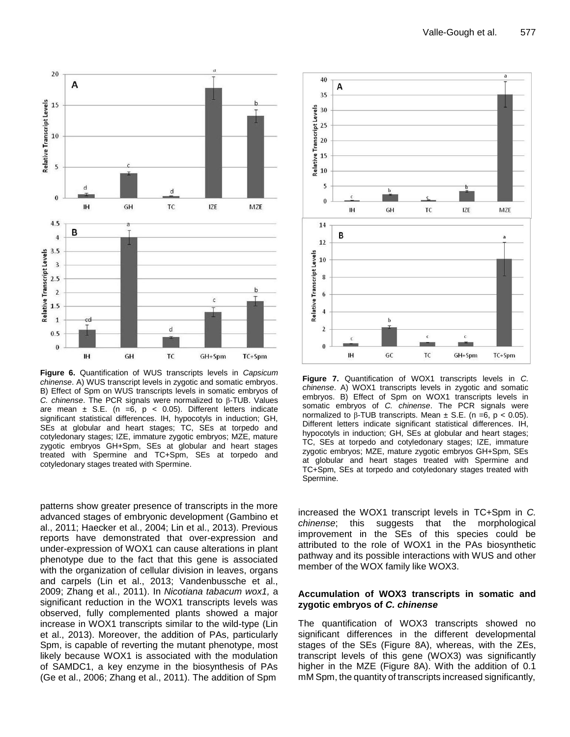

**Figure 6.** Quantification of WUS transcripts levels in *Capsicum chinense*. A) WUS transcript levels in zygotic and somatic embryos. B) Effect of Spm on WUS transcripts levels in somatic embryos of *C. chinense*. The PCR signals were normalized to β-TUB. Values are mean  $\pm$  S.E. (n =6, p < 0.05). Different letters indicate significant statistical differences. IH, hypocotyls in induction; GH, SEs at globular and heart stages; TC, SEs at torpedo and cotyledonary stages; IZE, immature zygotic embryos; MZE, mature zygotic embryos GH+Spm, SEs at globular and heart stages treated with Spermine and TC+Spm, SEs at torpedo and cotyledonary stages treated with Spermine.

patterns show greater presence of transcripts in the more advanced stages of embryonic development (Gambino et al., 2011; Haecker et al., 2004; Lin et al., 2013). Previous reports have demonstrated that over-expression and under-expression of WOX1 can cause alterations in plant phenotype due to the fact that this gene is associated with the organization of cellular division in leaves, organs and carpels (Lin et al., 2013; Vandenbussche et al., 2009; Zhang et al., 2011). In *Nicotiana tabacum wox1,* a significant reduction in the WOX1 transcripts levels was observed, fully complemented plants showed a major increase in WOX1 transcripts similar to the wild-type (Lin et al., 2013). Moreover, the addition of PAs, particularly Spm, is capable of reverting the mutant phenotype, most likely because WOX1 is associated with the modulation of SAMDC1, a key enzyme in the biosynthesis of PAs (Ge et al., 2006; Zhang et al., 2011). The addition of Spm



**Figure 7.** Quantification of WOX1 transcripts levels in *C. chinense*. A) WOX1 transcripts levels in zygotic and somatic embryos. B) Effect of Spm on WOX1 transcripts levels in somatic embryos of *C. chinense*. The PCR signals were normalized to β-TUB transcripts. Mean  $±$  S.E. (n =6, p < 0.05). Different letters indicate significant statistical differences. IH, hypocotyls in induction; GH, SEs at globular and heart stages; TC, SEs at torpedo and cotyledonary stages; IZE, immature zygotic embryos; MZE, mature zygotic embryos GH+Spm, SEs at globular and heart stages treated with Spermine and TC+Spm, SEs at torpedo and cotyledonary stages treated with Spermine.

increased the WOX1 transcript levels in TC+Spm in *C. chinense*; this suggests that the morphological improvement in the SEs of this species could be attributed to the role of WOX1 in the PAs biosynthetic pathway and its possible interactions with WUS and other member of the WOX family like WOX3.

# **Accumulation of WOX3 transcripts in somatic and zygotic embryos of** *C. chinense*

The quantification of WOX3 transcripts showed no significant differences in the different developmental stages of the SEs (Figure 8A), whereas, with the ZEs, transcript levels of this gene (WOX3) was significantly higher in the MZE (Figure 8A). With the addition of 0.1 mM Spm, the quantity of transcripts increased significantly,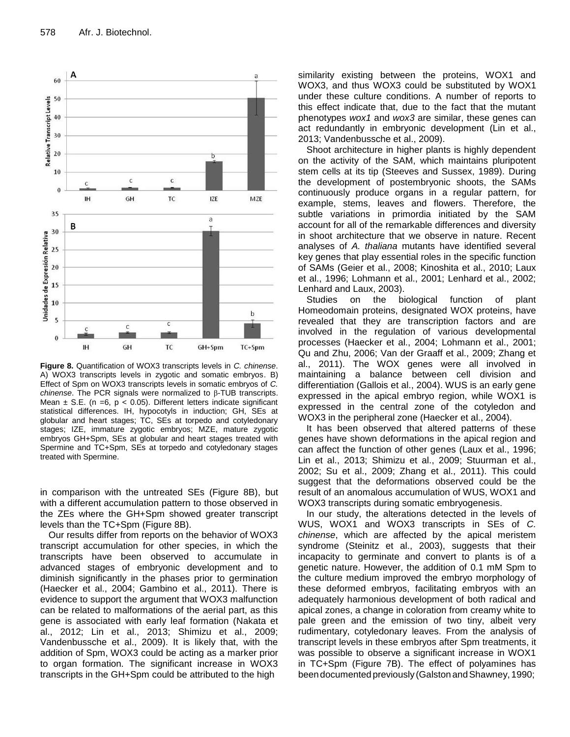

**Figure 8.** Quantification of WOX3 transcripts levels in *C. chinense*. A) WOX3 transcripts levels in zygotic and somatic embryos. B) Effect of Spm on WOX3 transcripts levels in somatic embryos of *C. chinense*. The PCR signals were normalized to β-TUB transcripts. Mean  $\pm$  S.E. (n =6, p < 0.05). Different letters indicate significant statistical differences. IH, hypocotyls in induction; GH, SEs at globular and heart stages; TC, SEs at torpedo and cotyledonary stages; IZE, immature zygotic embryos; MZE, mature zygotic embryos GH+Spm, SEs at globular and heart stages treated with Spermine and TC+Spm, SEs at torpedo and cotyledonary stages treated with Spermine.

in comparison with the untreated SEs (Figure 8B), but with a different accumulation pattern to those observed in the ZEs where the GH+Spm showed greater transcript levels than the TC+Spm (Figure 8B).

Our results differ from reports on the behavior of WOX3 transcript accumulation for other species, in which the transcripts have been observed to accumulate in advanced stages of embryonic development and to diminish significantly in the phases prior to germination (Haecker et al., 2004; Gambino et al., 2011). There is evidence to support the argument that WOX3 malfunction can be related to malformations of the aerial part, as this gene is associated with early leaf formation (Nakata et al., 2012; Lin et al., 2013; Shimizu et al., 2009; Vandenbussche et al., 2009). It is likely that, with the addition of Spm, WOX3 could be acting as a marker prior to organ formation. The significant increase in WOX3 transcripts in the GH+Spm could be attributed to the high

similarity existing between the proteins, WOX1 and WOX3, and thus WOX3 could be substituted by WOX1 under these culture conditions. A number of reports to this effect indicate that, due to the fact that the mutant phenotypes *wox1* and *wox3* are similar, these genes can act redundantly in embryonic development (Lin et al., 2013; Vandenbussche et al., 2009).

Shoot architecture in higher plants is highly dependent on the activity of the SAM, which maintains pluripotent stem cells at its tip (Steeves and Sussex, 1989). During the development of postembryonic shoots, the SAMs continuously produce organs in a regular pattern, for example, stems, leaves and flowers. Therefore, the subtle variations in primordia initiated by the SAM account for all of the remarkable differences and diversity in shoot architecture that we observe in nature. Recent analyses of *A. thaliana* mutants have identified several key genes that play essential roles in the specific function of SAMs (Geier et al., 2008; Kinoshita et al., 2010; Laux et al., 1996; Lohmann et al., 2001; Lenhard et al., 2002; Lenhard and Laux, 2003).

Studies on the biological function of plant Homeodomain proteins, designated WOX proteins, have revealed that they are transcription factors and are involved in the regulation of various developmental processes (Haecker et al., 2004; Lohmann et al., 2001; Qu and Zhu, 2006; Van der Graaff et al., 2009; Zhang et al., 2011). The WOX genes were all involved in maintaining a balance between cell division and differentiation (Gallois et al., 2004). WUS is an early gene expressed in the apical embryo region, while WOX1 is expressed in the central zone of the cotyledon and WOX3 in the peripheral zone (Haecker et al., 2004).

It has been observed that altered patterns of these genes have shown deformations in the apical region and can affect the function of other genes (Laux et al., 1996; Lin et al., 2013; Shimizu et al., 2009; Stuurman et al., 2002; Su et al., 2009; Zhang et al., 2011). This could suggest that the deformations observed could be the result of an anomalous accumulation of WUS, WOX1 and WOX3 transcripts during somatic embryogenesis.

In our study, the alterations detected in the levels of WUS, WOX1 and WOX3 transcripts in SEs of *C. chinense*, which are affected by the apical meristem syndrome (Steinitz et al., 2003), suggests that their incapacity to germinate and convert to plants is of a genetic nature. However, the addition of 0.1 mM Spm to the culture medium improved the embryo morphology of these deformed embryos, facilitating embryos with an adequately harmonious development of both radical and apical zones, a change in coloration from creamy white to pale green and the emission of two tiny, albeit very rudimentary, cotyledonary leaves. From the analysis of transcript levels in these embryos after Spm treatments, it was possible to observe a significant increase in WOX1 in TC+Spm (Figure 7B). The effect of polyamines has been documented previously (Galston and Shawney, 1990;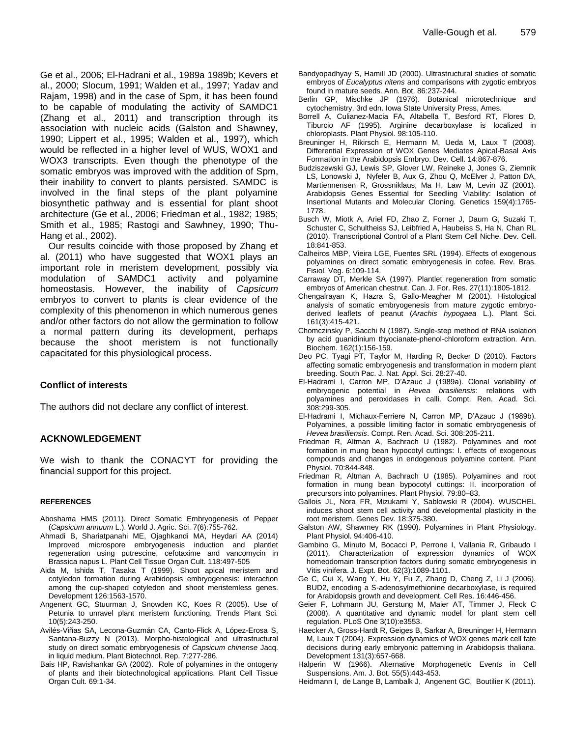Ge et al., 2006; El-Hadrani et al., 1989a 1989b; Kevers et al., 2000; Slocum, 1991; Walden et al., 1997; Yadav and Rajam, 1998) and in the case of Spm, it has been found to be capable of modulating the activity of SAMDC1 (Zhang et al., 2011) and transcription through its association with nucleic acids (Galston and Shawney, 1990; Lippert et al., 1995; Walden et al., 1997), which would be reflected in a higher level of WUS, WOX1 and WOX3 transcripts. Even though the phenotype of the somatic embryos was improved with the addition of Spm, their inability to convert to plants persisted. SAMDC is involved in the final steps of the plant polyamine biosynthetic pathway and is essential for plant shoot architecture (Ge et al., 2006; Friedman et al., 1982; 1985; Smith et al., 1985; Rastogi and Sawhney, 1990; Thu-Hang et al., 2002).

Our results coincide with those proposed by Zhang et al. (2011) who have suggested that WOX1 plays an important role in meristem development, possibly via modulation of SAMDC1 activity and polyamine homeostasis. However, the inability of *Capsicum* embryos to convert to plants is clear evidence of the complexity of this phenomenon in which numerous genes and/or other factors do not allow the germination to follow a normal pattern during its development, perhaps because the shoot meristem is not functionally capacitated for this physiological process.

# **Conflict of interests**

The authors did not declare any conflict of interest.

# **ACKNOWLEDGEMENT**

We wish to thank the CONACYT for providing the financial support for this project.

#### **REFERENCES**

- Aboshama HMS (2011). Direct Somatic Embryogenesis of Pepper (*Capsicum annuum* L.). World J. Agric. Sci. 7(6):755-762.
- Ahmadi B, Shariatpanahi ME, Ojaghkandi MA, Heydari AA (2014) Improved microspore embryogenesis induction and plantlet regeneration using putrescine, cefotaxime and vancomycin in Brassica napus L. Plant Cell Tissue Organ Cult. 118:497-505
- Aida M, Ishida T, Tasaka T (1999). Shoot apical meristem and cotyledon formation during Arabidopsis embryogenesis: interaction among the cup-shaped cotyledon and shoot meristemless genes. Development 126:1563-1570.
- Angenent GC, Stuurman J, Snowden KC, Koes R (2005). Use of Petunia to unravel plant meristem functioning. Trends Plant Sci. 10(5):243-250.
- Avilés-Viñas SA, Lecona-Guzmán CA, Canto-Flick A, López-Erosa S, Santana-Buzzy N (2013). Morpho-histological and ultrastructural study on direct somatic embryogenesis of *Capsicum chinense* Jacq. in liquid medium. Plant Biotechnol. Rep. 7:277-286.
- Bais HP, Ravishankar GA (2002). Role of polyamines in the ontogeny of plants and their biotechnological applications. Plant Cell Tissue Organ Cult. 69:1-34.
- Bandyopadhyay S, Hamill JD (2000). Ultrastructural studies of somatic embryos of *Eucalyptus nitens* and comparisons with zygotic embryos found in mature seeds. Ann. Bot. 86:237-244.
- Berlin GP, Mischke JP (1976). Botanical microtechnique and cytochemistry. 3rd edn. Iowa State University Press, Ames.
- Borrell A, Culianez-Macia FA, Altabella T, Besford RT, Flores D, Tiburcio AF (1995). Arginine decarboxylase is localized in chloroplasts. Plant Physiol. 98:105-110.
- Breuninger H, Rikirsch E, Hermann M, Ueda M, Laux T (2008). Differential Expression of WOX Genes Mediates Apical-Basal Axis Formation in the Arabidopsis Embryo. Dev. Cell. 14:867-876.
- Budziszewski GJ, Lewis SP, Glover LW, Reineke J, Jones G, Ziemnik LS, Lonowski J, Nyfeler B, Aux G, Zhou Q, McElver J, Patton DA, Martiennensen R, Grossniklaus, Ma H, Law M, Levin JZ (2001). Arabidopsis Genes Essential for Seedling Viability: Isolation of Insertional Mutants and Molecular Cloning. Genetics 159(4):1765- 1778.
- Busch W, Miotk A, Ariel FD, Zhao Z, Forner J, Daum G, Suzaki T, Schuster C, Schultheiss SJ, Leibfried A, Haubeiss S, Ha N, Chan RL (2010). Transcriptional Control of a Plant Stem Cell Niche. Dev. Cell. 18:841-853.
- Calheiros MBP, Vieira LGE, Fuentes SRL (1994). Effects of exogenous polyamines on direct somatic embryogenesis in cofee. Rev. Bras. Fisiol. Veg. 6:109-114.
- Carraway DT, Merkle SA (1997). Plantlet regeneration from somatic embryos of American chestnut. Can. J. For. Res. 27(11):1805-1812.
- Chengalrayan K, Hazra S, Gallo-Meagher M (2001). Histological analysis of somatic embryogenesis from mature zygotic embryoderived leaflets of peanut (*Arachis hypogaea* L.). Plant Sci. 161(3):415-421.
- Chomczinsky P, Sacchi N (1987). Single-step method of RNA isolation by acid guanidinium thyocianate-phenol-chloroform extraction. Ann. Biochem. 162(1):156-159.
- Deo PC, Tyagi PT, Taylor M, Harding R, Becker D (2010). Factors affecting somatic embryogenesis and transformation in modern plant breeding. South Pac. J. Nat. Appl. Sci. 28:27-40.
- El-Hadrami I, Carron MP, D'Azauc J (1989a). Clonal variability of embryogenic potential in *Hevea brasiliensis*: relations with polyamines and peroxidases in calli. Compt. Ren. Acad. Sci. 308:299-305.
- El-Hadrami I, Michaux-Ferriere N, Carron MP, D'Azauc J (1989b). Polyamines, a possible limiting factor in somatic embryogenesis of *Hevea brasiliensis*. Compt. Ren. Acad. Sci. 308:205-211.
- Friedman R, Altman A, Bachrach U (1982). Polyamines and root formation in mung bean hypocotyl cuttings: I. effects of exogenous compounds and changes in endogenous polyamine content. Plant Physiol. 70:844-848.
- Friedman R, Altman A, Bachrach U (1985). Polyamines and root formation in mung bean bypocotyl cuttings: II. incorporation of precursors into polyamines. Plant Physiol. 79:80–83.
- Gallois JL, Nora FR, Mizukami Y, Sablowski R (2004). WUSCHEL induces shoot stem cell activity and developmental plasticity in the root meristem. Genes Dev. 18:375-380.
- Galston AW, Shawmey RK (1990). Polyamines in Plant Physiology. Plant Physiol. 94:406-410.
- Gambino G, Minuto M, Bocacci P, Perrone I, Vallania R, Gribaudo I (2011). Characterization of expression dynamics of WOX homeodomain transcription factors during somatic embryogenesis in Vitis vinifera. J. Expt. Bot. 62(3):1089-1101.
- Ge C, Cui X, Wang Y, Hu Y, Fu Z, Zhang D, Cheng Z, Li J (2006). BUD2, encoding a S-adenosylmethionine decarboxylase, is required for Arabidopsis growth and development. Cell Res. 16:446-456.
- Geier F, Lohmann JU, Gerstung M, Maier AT, Timmer J, Fleck C (2008). A quantitative and dynamic model for plant stem cell regulation. PLoS One 3(10):e3553.
- Haecker A, Gross-Hardt R, Geiges B, Sarkar A, Breuninger H, Hermann M, Laux T (2004). Expression dynamics of WOX genes mark cell fate decisions during early embryonic patterning in Arabidopsis thaliana. Development 131(3):657-668.
- Halperin W (1966). Alternative Morphogenetic Events in Cell Suspensions. Am. J. Bot. 55(5):443-453.
- Heidmann I, de Lange B, Lambalk J, Angenent GC, Boutilier K (2011).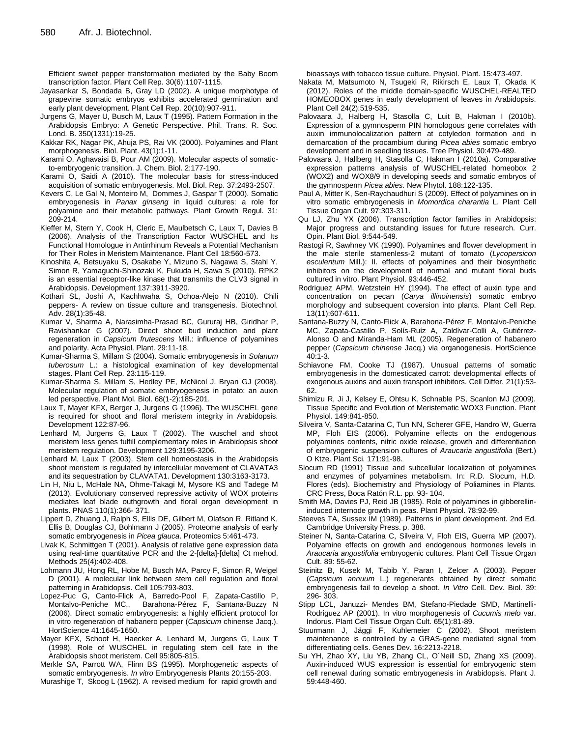Efficient sweet pepper transformation mediated by the Baby Boom transcription factor. Plant Cell Rep. 30(6):1107-1115.

- Jayasankar S, Bondada B, Gray LD (2002). A unique morphotype of grapevine somatic embryos exhibits accelerated germination and early plant development. Plant Cell Rep. 20(10):907-911.
- Jurgens G, Mayer U, Busch M, Laux T (1995). Pattern Formation in the Arabidopsis Embryo: A Genetic Perspective. Phil. Trans. R. Soc. Lond. B. 350(1331):19-25.
- Kakkar RK, Nagar PK, Ahuja PS, Rai VK (2000). Polyamines and Plant morphogenesis. Biol. Plant. 43(1):1-11.
- Karami O, Aghavaisi B, Pour AM (2009). Molecular aspects of somaticto-embryogenic transition. J. Chem. Biol. 2:177-190.
- Karami O, Saidi A (2010). The molecular basis for stress-induced acquisition of somatic embryogenesis. Mol. Biol. Rep. 37:2493-2507.
- Kevers C, Le Gal N, Monteiro M, Dommes J, Gaspar T (2000). Somatic embryogenesis in *Panax ginseng* in liquid cultures: a role for polyamine and their metabolic pathways. Plant Growth Regul. 31: 209-214.
- Kieffer M, Stern Y, Cook H, Cleric E, Maulbetsch C, Laux T, Davies B (2006). Analysis of the Transcription Factor WUSCHEL and Its Functional Homologue in Antirrhinum Reveals a Potential Mechanism for Their Roles in Meristem Maintenance. Plant Cell 18:560-573.
- Kinoshita A, Betsuyaku S, Osakabe Y, Mizuno S, Nagawa S, Stahl Y, Simon R, Yamaguchi-Shinozaki K, Fukuda H, Sawa S **(**2010). RPK2 is an essential receptor-like kinase that transmits the CLV3 signal in Arabidopsis. Development 137:3911-3920.
- Kothari SL, Joshi A, Kachhwaha S, Ochoa-Alejo N (2010). Chili peppers- A review on tissue culture and transgenesis. Biotechnol. Adv. 28(1):35-48.
- Kumar V, Sharma A, Narasimha-Prasad BC, Gururaj HB, Giridhar P, Ravishankar G (2007). Direct shoot bud induction and plant regeneration in *Capsicum frutescens* Mill.: influence of polyamines and polarity. Acta Physiol. Plant. 29:11-18.
- Kumar-Sharma S, Millam S (2004). Somatic embryogenesis in *Solanum tuberosum* L.: a histological examination of key developmental stages. Plant Cell Rep. 23:115-119.
- Kumar-Sharma S, Millam S, Hedley PE, McNicol J, Bryan GJ (2008). Molecular regulation of somatic embryogenesis in potato: an auxin led perspective. Plant Mol. Biol. 68(1-2):185-201.
- Laux T, Mayer KFX, Berger J, Jurgens G (1996). The WUSCHEL gene is required for shoot and floral meristem integrity in Arabidopsis. Development 122:87-96.
- Lenhard M, Jurgens G, Laux T (2002). The wuschel and shoot meristem less genes fulfill complementary roles in Arabidopsis shoot meristem regulation. Development 129:3195-3206.
- Lenhard M, Laux T (2003). Stem cell homeostasis in the Arabidopsis shoot meristem is regulated by intercellular movement of CLAVATA3 and its sequestration by CLAVATA1. Development 130:3163-3173.
- Lin H, Niu L, McHale NA, Ohme-Takagi M, Mysore KS and Tadege M (2013). Evolutionary conserved repressive activity of WOX proteins mediates leaf blade outhgrowth and floral organ development in plants. PNAS 110(1):366- 371.
- Lippert D, Zhuang J, Ralph S, Ellis DE, Gilbert M, Olafson R, Ritland K, Ellis B, Douglas CJ, Bohlmann J (2005). Proteome analysis of early somatic embryogenesis in *Picea glauca*. Proteomics 5:461-473.
- Livak K, Schmittgen T (2001). Analysis of relative gene expression data using real-time quantitative PCR and the 2-[delta]-[delta] Ct mehod. Methods 25(4):402-408.
- Lohmann JU, Hong RL, Hobe M, Busch MA, Parcy F, Simon R, Weigel D (2001). A molecular link between stem cell regulation and floral patterning in Arabidopsis. Cell 105:793-803.
- Lopez-Puc G, Canto-Flick A, Barredo-Pool F, Zapata-Castillo P,<br>Montalvo-Peniche MC., Barahona-Pérez F, Santana-Buzzy N Barahona-Pérez F, Santana-Buzzy N (2006). Direct somatic embryogenesis: a highly efficient protocol for in vitro regeneration of habanero pepper (*Capsicum* chinense Jacq.). HortScience 41:1645-1650.
- Mayer KFX, Schoof H, Haecker A, Lenhard M, Jurgens G, Laux T (1998). Role of WUSCHEL in regulating stem cell fate in the Arabidopsis shoot meristem. Cell 95:805-815.

Merkle SA, Parrott WA, Flinn BS (1995). Morphogenetic aspects of somatic embryogenesis. *In vitro* Embryogenesis Plants 20:155-203.

Murashige T, Skoog L (1962). A revised medium for rapid growth and

bioassays with tobacco tissue culture. Physiol. Plant. 15:473-497.

- Nakata M, Matsumoto N, Tsugeki R, Rikirsch E, Laux T, Okada K (2012). Roles of the middle domain-specific WUSCHEL-REALTED HOMEOBOX genes in early development of leaves in Arabidopsis. Plant Cell 24(2):519-535.
- Palovaara J, Halberg H, Stasolla C, Luit B, Hakman I (2010b). Expression of a gymnosperm PIN homologous gene correlates with auxin immunolocalization pattern at cotyledon formation and in demarcation of the procambium during *Picea abies* somatic embryo development and in seedling tissues. Tree Physiol. 30:479-489.
- Palovaara J, Hallberg H, Stasolla C, Hakman I (2010a). Comparative expression patterns analysis of WUSCHEL-related homeobox 2 (WOX2) and WOX8/9 in developing seeds and somatic embryos of the gymnosperm *Picea abies*. New Phytol. 188:122-135.
- Paul A, Mitter K, Sen-Raychaudhuri S (2009). Effect of polyamines on in vitro somatic embryogenesis in *Momordica charantia* L. Plant Cell Tissue Organ Cult. 97:303-311.
- Qu LJ, Zhu YX (2006). Transcription factor families in Arabidopsis: Major progress and outstanding issues for future research. Curr. Opin. Plant Biol. 9:544-549.
- Rastogi R, Sawhney VK (1990). Polyamines and flower development in the male sterile stamenless-2 mutant of tomato (*Lycopersicon esculentum* Mill.): II. effects of polyamines and their biosynthetic inhibitors on the development of normal and mutant floral buds cultured in vitro. Plant Physiol. 93:446-452.
- Rodriguez APM, Wetzstein HY (1994). The effect of auxin type and concentration on pecan (*Carya illinoinensis*) somatic embryo morphology and subsequent coversion into plants. Plant Cell Rep. 13(11):607-611.
- Santana-Buzzy N, Canto-Flick A, Barahona-Pérez F, Montalvo-Peniche MC, Zapata-Castillo P, Solís-Ruíz A, Zaldívar-Colli A, Gutiérrez-Alonso O and Miranda-Ham ML (2005). Regeneration of habanero pepper (*Capsicum chinense* Jacq.) via organogenesis. HortScience 40:1-3.
- Schiavone FM, Cooke TJ (1987). Unusual patterns of somatic embryogenesis in the domesticated carrot: developmental effects of exogenous auxins and auxin transport inhibitors. Cell Differ. 21(1):53- 62.
- Shimizu R, Ji J, Kelsey E, Ohtsu K, Schnable PS, Scanlon MJ (2009). Tissue Specific and Evolution of Meristematic WOX3 Function. Plant Physiol. 149:841-850.
- Silveira V, Santa-Catarina C, Tun NN, Scherer GFE, Handro W, Guerra MP, Floh EIS (2006). Polyamine effects on the endogenous polyamines contents, nitric oxide release, growth and differentiation of embryogenic suspension cultures of *Araucaria angustifolia* (Bert.) O Ktze. Plant Sci. 171:91-98.
- Slocum RD (1991) Tissue and subcellular localization of polyamines and enzymes of polyamines metabolism. In: R.D. Slocum, H.D. Flores (eds). Biochemistry and Physiology of Poliamines in Plants. CRC Press, Boca Ratón R.L. pp. 93- 104.
- Smith MA, Davies PJ, Reid JB (1985). Role of polyamines in gibberellininduced internode growth in peas. Plant Physiol. 78:92-99.
- Steeves TA, Sussex IM (1989). Patterns in plant development. 2nd Ed. Cambridge University Press. p. 388.
- Steiner N, Santa-Catarina C, Silveira V, Floh EIS, Guerra MP (2007). Polyamine effects on growth and endogenous hormones levels in *Araucaria angustifolia* embryogenic cultures. Plant Cell Tissue Organ Cult. 89: 55-62.
- Steinitz B, Kusek M, Tabib Y, Paran I, Zelcer A (2003). Pepper (*Capsicum annuum* L.) regenerants obtained by direct somatic embryogenesis fail to develop a shoot. *In Vitro* Cell. Dev. Biol. 39: 296- 303.
- Stipp LCL, Januzzi- Mendes BM, Stefano-Piedade SMD, Martinelli-Rodriguez AP (2001). In vitro morphogenesis of *Cucumis melo* var. Indorus. Plant Cell Tissue Organ Cult. 65(1):81-89.
- Stuurmann J, Jäggi F, Kuhlemeier C (2002). Shoot meristem maintenance is controlled by a GRAS-gene mediated signal from differentiating cells. Genes Dev. 16:2213-2218.
- Su YH, Zhao XY, Liu YB, Zhang CL, O´Neill SD, Zhang XS (2009). Auxin-induced WUS expression is essential for embryogenic stem cell renewal during somatic embryogenesis in Arabidopsis. Plant J. 59:448-460.